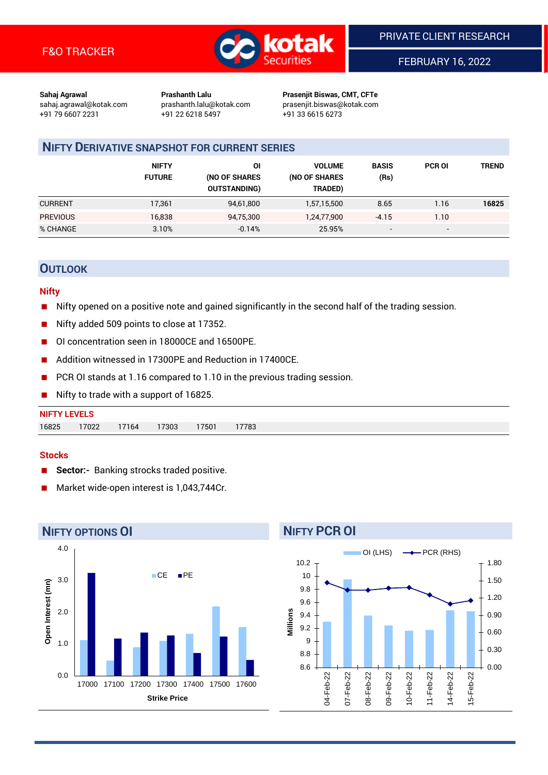

FEBRUARY 16, 2022

**Sahaj Agrawal Prashanth Lalu Prasenjit Biswas, CMT, CFTe** +91 79 6607 2231 +91 22 6218 5497 +91 33 6615 6273

sahaj.agrawal@kotak.com [prashanth.lalu@kotak.com](mailto:prashanth.lalu@kotak.com) prasenjit.biswas@kotak.com

# **NIFTY DERIVATIVE SNAPSHOT FOR CURRENT SERIES**

|                 | <b>NIFTY</b><br><b>FUTURE</b> | ΟI<br>(NO OF SHARES<br><b>OUTSTANDING)</b> | <b>VOLUME</b><br>(NO OF SHARES<br>TRADED) | <b>BASIS</b><br>(Rs)     | <b>PCR OI</b>            | TREND |
|-----------------|-------------------------------|--------------------------------------------|-------------------------------------------|--------------------------|--------------------------|-------|
| <b>CURRENT</b>  | 17,361                        | 94,61,800                                  | 1,57,15,500                               | 8.65                     | 1.16                     | 16825 |
| <b>PREVIOUS</b> | 16,838                        | 94,75,300                                  | 1,24,77,900                               | $-4.15$                  | 1.10                     |       |
| % CHANGE        | 3.10%                         | $-0.14%$                                   | 25.95%                                    | $\overline{\phantom{a}}$ | $\overline{\phantom{0}}$ |       |

## **OUTLOOK**

#### **Nifty**

- Nifty opened on a positive note and gained significantly in the second half of the trading session.
- Nifty added 509 points to close at 17352.
- OI concentration seen in 18000CE and 16500PE.
- Addition witnessed in 17300PE and Reduction in 17400CE.
- PCR OI stands at 1.16 compared to 1.10 in the previous trading session.
- Nifty to trade with a support of 16825.

#### **Stocks**

- **Sector:-** Banking strocks traded positive.
- Market wide-open interest is 1,043,744Cr.



# **NIFTY PCR OI**

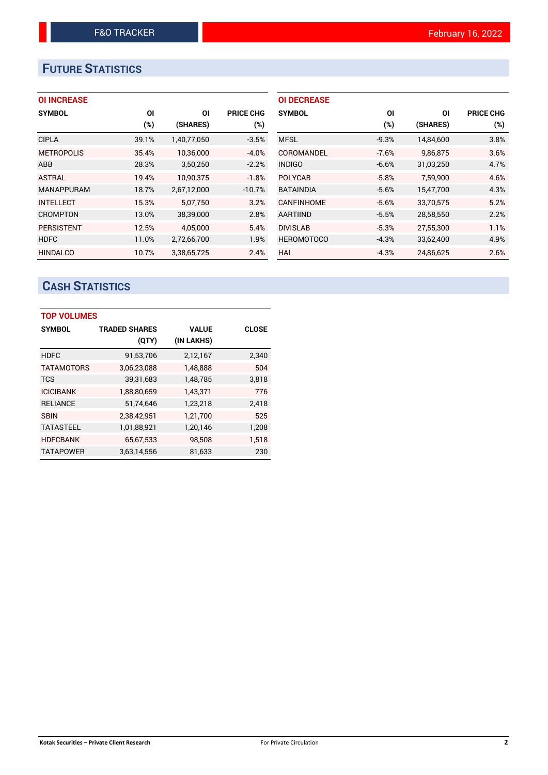# **FUTURE STATISTICS**

## **OI INCREASE**

| <b>SYMBOL</b>     | ΟI    | ΟI          | <b>PRICE CHG</b> |
|-------------------|-------|-------------|------------------|
|                   | (%)   | (SHARES)    | (%)              |
| <b>CIPLA</b>      | 39.1% | 1,40,77,050 | $-3.5%$          |
| <b>METROPOLIS</b> | 35.4% | 10,36,000   | $-4.0%$          |
| <b>ABB</b>        | 28.3% | 3,50,250    | $-2.2%$          |
| <b>ASTRAL</b>     | 19.4% | 10.90.375   | $-1.8%$          |
| <b>MANAPPURAM</b> | 18.7% | 2,67,12,000 | $-10.7%$         |
| <b>INTELLECT</b>  | 15.3% | 5.07.750    | 3.2%             |
| <b>CROMPTON</b>   | 13.0% | 38,39,000   | 2.8%             |
| <b>PERSISTENT</b> | 12.5% | 4,05,000    | 5.4%             |
| <b>HDFC</b>       | 11.0% | 2,72,66,700 | 1.9%             |
| <b>HINDALCO</b>   | 10.7% | 3.38.65.725 | 2.4%             |

| <b>OI DECREASE</b> |         |           |                  |
|--------------------|---------|-----------|------------------|
| <b>SYMBOL</b>      | ΟI      | ΟI        | <b>PRICE CHG</b> |
|                    | (%)     | (SHARES)  | (%)              |
| <b>MFSL</b>        | $-9.3%$ | 14,84,600 | 3.8%             |
| COROMANDEL         | $-7.6%$ | 9.86.875  | 3.6%             |
| <b>INDIGO</b>      | $-6.6%$ | 31,03,250 | 4.7%             |
| <b>POLYCAB</b>     | $-5.8%$ | 7.59.900  | 4.6%             |
| <b>BATAINDIA</b>   | $-5.6%$ | 15,47,700 | 4.3%             |
| <b>CANFINHOME</b>  | $-5.6%$ | 33,70,575 | 5.2%             |
| <b>AARTIIND</b>    | $-5.5%$ | 28,58,550 | 2.2%             |
| <b>DIVISLAB</b>    | $-5.3%$ | 27,55,300 | 1.1%             |
| <b>HEROMOTOCO</b>  | $-4.3%$ | 33,62,400 | 4.9%             |
| HAL                | $-4.3%$ | 24.86.625 | 2.6%             |

# **CASH STATISTICS**

| <b>TOP VOLUMES</b> |                      |              |              |  |  |  |  |  |
|--------------------|----------------------|--------------|--------------|--|--|--|--|--|
| <b>SYMBOL</b>      | <b>TRADED SHARES</b> | <b>VALUE</b> | <b>CLOSE</b> |  |  |  |  |  |
|                    | (QTY)                | (IN LAKHS)   |              |  |  |  |  |  |
| <b>HDFC</b>        | 91,53,706            | 2,12,167     | 2,340        |  |  |  |  |  |
| <b>TATAMOTORS</b>  | 3,06,23,088          | 1,48,888     | 504          |  |  |  |  |  |
| <b>TCS</b>         | 39,31,683            | 1,48,785     | 3,818        |  |  |  |  |  |
| <b>ICICIBANK</b>   | 1,88,80,659          | 1,43,371     | 776          |  |  |  |  |  |
| <b>RELIANCE</b>    | 51,74,646            | 1,23,218     | 2,418        |  |  |  |  |  |
| <b>SBIN</b>        | 2,38,42,951          | 1,21,700     | 525          |  |  |  |  |  |
| <b>TATASTEEL</b>   | 1,01,88,921          | 1,20,146     | 1,208        |  |  |  |  |  |
| <b>HDFCBANK</b>    | 65,67,533            | 98,508       | 1,518        |  |  |  |  |  |
| <b>TATAPOWER</b>   | 3,63,14,556          | 81,633       | 230          |  |  |  |  |  |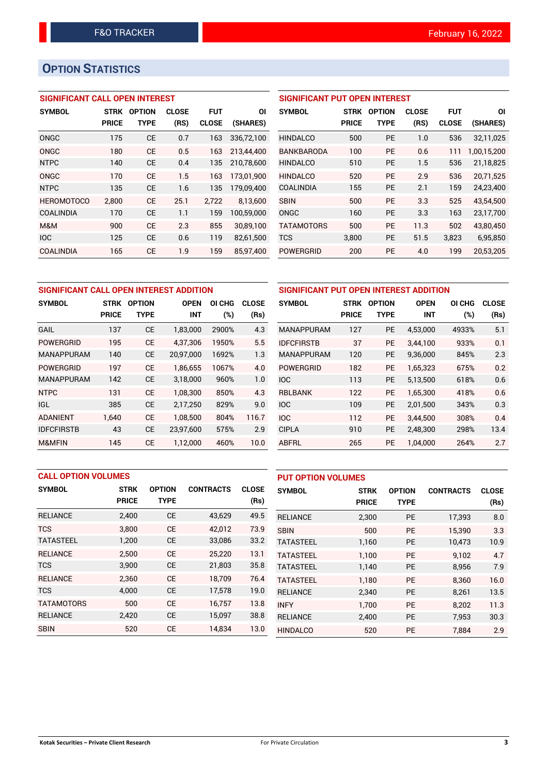# **OPTION STATISTICS**

## **SIGNIFICANT CALL OPEN INTEREST**

| <b>SYMBOL</b>     | <b>STRK</b>  | <b>OPTION</b> | <b>CLOSE</b> | <b>FUT</b>   | ΟI         |
|-------------------|--------------|---------------|--------------|--------------|------------|
|                   | <b>PRICE</b> | TYPE          | (RS)         | <b>CLOSE</b> | (SHARES)   |
| ONGC              | 175          | CE            | 0.7          | 163          | 336,72,100 |
| ONGC              | 180          | CE            | 0.5          | 163          | 213,44,400 |
| <b>NTPC</b>       | 140          | <b>CE</b>     | 0.4          | 135          | 210,78,600 |
| ONGC              | 170          | <b>CE</b>     | 1.5          | 163          | 173,01,900 |
| <b>NTPC</b>       | 135          | <b>CE</b>     | 1.6          | 135          | 179,09,400 |
| <b>HEROMOTOCO</b> | 2.800        | CE            | 25.1         | 2,722        | 8,13,600   |
| <b>COALINDIA</b>  | 170          | CE            | 1.1          | 159          | 100,59,000 |
| M&M               | 900          | CF            | 2.3          | 855          | 30.89.100  |
| <b>IOC</b>        | 125          | CE            | 0.6          | 119          | 82,61,500  |
| <b>COALINDIA</b>  | 165          | CE            | 1.9          | 159          | 85.97.400  |

## **SIGNIFICANT PUT OPEN INTEREST**

| <b>SYMBOL</b>     | <b>STRK</b><br><b>PRICE</b> | <b>OPTION</b><br>TYPE | CLOSE<br>(RS) | <b>FUT</b><br><b>CLOSE</b> | ΟI<br>(SHARES) |
|-------------------|-----------------------------|-----------------------|---------------|----------------------------|----------------|
| <b>HINDALCO</b>   | 500                         | <b>PF</b>             | 1.0           | 536                        | 32,11,025      |
| <b>BANKBARODA</b> | 100                         | PF                    | 0.6           | 111                        | 1,00,15,200    |
| <b>HINDALCO</b>   | 510                         | <b>PE</b>             | 1.5           | 536                        | 21,18,825      |
| <b>HINDALCO</b>   | 520                         | PF                    | 2.9           | 536                        | 20.71.525      |
| COALINDIA         | 155                         | PF                    | 2.1           | 159                        | 24,23,400      |
| <b>SBIN</b>       | 500                         | <b>PE</b>             | 3.3           | 525                        | 43.54.500      |
| ONGC              | 160                         | <b>PF</b>             | 3.3           | 163                        | 23.17.700      |
| <b>TATAMOTORS</b> | 500                         | PF                    | 11.3          | 502                        | 43.80.450      |
| <b>TCS</b>        | 3,800                       | PE                    | 51.5          | 3,823                      | 6,95,850       |
| POWERGRID         | 200                         | <b>PE</b>             | 4.0           | 199                        | 20,53,205      |

| SIGNIFICANT CALL OPEN INTEREST ADDITION |              |               |             |        |              |  |
|-----------------------------------------|--------------|---------------|-------------|--------|--------------|--|
| <b>SYMBOL</b>                           | <b>STRK</b>  | <b>OPTION</b> | <b>OPEN</b> | OI CHG | <b>CLOSE</b> |  |
|                                         | <b>PRICE</b> | TYPE          | <b>INT</b>  | $(\%)$ | (Rs)         |  |
| <b>GAIL</b>                             | 137          | <b>CE</b>     | 1,83,000    | 2900%  | 4.3          |  |
| <b>POWERGRID</b>                        | 195          | <b>CE</b>     | 4.37.306    | 1950%  | 5.5          |  |
| <b>MANAPPURAM</b>                       | 140          | <b>CE</b>     | 20,97,000   | 1692%  | 1.3          |  |
| <b>POWERGRID</b>                        | 197          | <b>CE</b>     | 1,86,655    | 1067%  | 4.0          |  |
| <b>MANAPPURAM</b>                       | 142          | <b>CE</b>     | 3,18,000    | 960%   | 1.0          |  |
| <b>NTPC</b>                             | 131          | <b>CE</b>     | 1,08,300    | 850%   | 4.3          |  |
| IGL                                     | 385          | <b>CE</b>     | 2,17,250    | 829%   | 9.0          |  |
| <b>ADANIENT</b>                         | 1.640        | <b>CE</b>     | 1,08,500    | 804%   | 116.7        |  |
| <b>IDFCFIRSTB</b>                       | 43           | <b>CE</b>     | 23.97.600   | 575%   | 2.9          |  |
| M&MFIN                                  | 145          | <b>CE</b>     | 1.12.000    | 460%   | 10.0         |  |

| SIGNIFICANT PUT OPEN INTEREST ADDITION |              |               |             |        |              |  |  |  |
|----------------------------------------|--------------|---------------|-------------|--------|--------------|--|--|--|
| <b>SYMBOL</b>                          | <b>STRK</b>  | <b>OPTION</b> | <b>OPEN</b> | OI CHG | <b>CLOSE</b> |  |  |  |
|                                        | <b>PRICE</b> | <b>TYPE</b>   | <b>INT</b>  | (%)    | (Rs)         |  |  |  |
| <b>MANAPPURAM</b>                      | 127          | <b>PE</b>     | 4,53,000    | 4933%  | 5.1          |  |  |  |
| <b>IDFCFIRSTB</b>                      | 37           | <b>PE</b>     | 3.44.100    | 933%   | 0.1          |  |  |  |
| <b>MANAPPURAM</b>                      | 120          | PE            | 9,36,000    | 845%   | 2.3          |  |  |  |
| <b>POWERGRID</b>                       | 182          | PE            | 1,65,323    | 675%   | 0.2          |  |  |  |
| <b>IOC</b>                             | 113          | <b>PE</b>     | 5,13,500    | 618%   | 0.6          |  |  |  |
| <b>RBLBANK</b>                         | 122          | PE            | 1.65.300    | 418%   | 0.6          |  |  |  |
| <b>IOC</b>                             | 109          | <b>PE</b>     | 2,01,500    | 343%   | 0.3          |  |  |  |
| <b>IOC</b>                             | 112          | PE            | 3.44.500    | 308%   | 0.4          |  |  |  |
| <b>CIPLA</b>                           | 910          | <b>PE</b>     | 2,48,300    | 298%   | 13.4         |  |  |  |
| ABFRL                                  | 265          | PE            | 1,04,000    | 264%   | 2.7          |  |  |  |

| <b>CALL OPTION VOLUMES</b> |              |               |                  | <b>PUT OPTION VOLUMES</b> |                  |              |               |                  |              |
|----------------------------|--------------|---------------|------------------|---------------------------|------------------|--------------|---------------|------------------|--------------|
| <b>SYMBOL</b>              | <b>STRK</b>  | <b>OPTION</b> | <b>CONTRACTS</b> | <b>CLOSE</b>              | <b>SYMBOL</b>    | <b>STRK</b>  | <b>OPTION</b> | <b>CONTRACTS</b> | <b>CLOSE</b> |
|                            | <b>PRICE</b> | <b>TYPE</b>   |                  | (Rs)                      |                  | <b>PRICE</b> | <b>TYPE</b>   |                  | (Rs)         |
| <b>RELIANCE</b>            | 2,400        | <b>CE</b>     | 43,629           | 49.5                      | <b>RELIANCE</b>  | 2,300        | <b>PE</b>     | 17,393           | 8.0          |
| <b>TCS</b>                 | 3.800        | <b>CE</b>     | 42.012           | 73.9                      | <b>SBIN</b>      | 500          | <b>PE</b>     | 15.390           | 3.3          |
| <b>TATASTEEL</b>           | 1,200        | <b>CE</b>     | 33,086           | 33.2                      | <b>TATASTEEL</b> | 1,160        | PE            | 10,473           | 10.9         |
| <b>RELIANCE</b>            | 2.500        | <b>CE</b>     | 25.220           | 13.1                      | <b>TATASTEEL</b> | 1.100        | <b>PE</b>     | 9.102            | 4.7          |
| <b>TCS</b>                 | 3,900        | <b>CE</b>     | 21,803           | 35.8                      | <b>TATASTEEL</b> | 1,140        | <b>PE</b>     | 8,956            | 7.9          |
| <b>RELIANCE</b>            | 2,360        | <b>CE</b>     | 18.709           | 76.4                      | <b>TATASTEEL</b> | 1.180        | <b>PE</b>     | 8.360            | 16.0         |
| <b>TCS</b>                 | 4,000        | <b>CE</b>     | 17,578           | 19.0                      | <b>RELIANCE</b>  | 2,340        | <b>PE</b>     | 8,261            | 13.5         |
| <b>TATAMOTORS</b>          | 500          | <b>CE</b>     | 16.757           | 13.8                      | <b>INFY</b>      | 1.700        | <b>PE</b>     | 8,202            | 11.3         |
| <b>RELIANCE</b>            | 2,420        | <b>CE</b>     | 15,097           | 38.8                      | <b>RELIANCE</b>  | 2,400        | <b>PE</b>     | 7,953            | 30.3         |
| <b>SBIN</b>                | 520          | <b>CE</b>     | 14,834           | 13.0                      | <b>HINDALCO</b>  | 520          | PE            | 7.884            | 2.9          |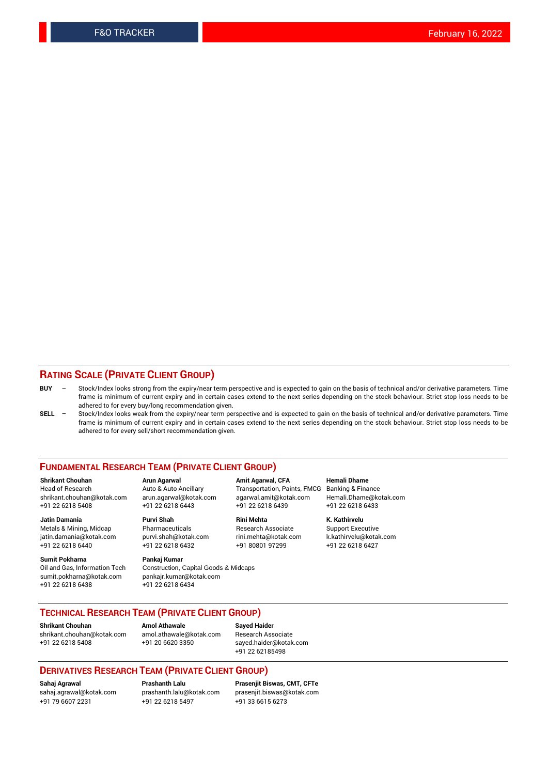#### **RATING SCALE (PRIVATE CLIENT GROUP)**

- **BUY**  Stock/Index looks strong from the expiry/near term perspective and is expected to gain on the basis of technical and/or derivative parameters. Time frame is minimum of current expiry and in certain cases extend to the next series depending on the stock behaviour. Strict stop loss needs to be adhered to for every buy/long recommendation given.
- **SELL** Stock/Index looks weak from the expiry/near term perspective and is expected to gain on the basis of technical and/or derivative parameters. Time frame is minimum of current expiry and in certain cases extend to the next series depending on the stock behaviour. Strict stop loss needs to be adhered to for every sell/short recommendation given.

#### **FUNDAMENTAL RESEARCH TEAM (PRIVATE CLIENT GROUP)**

**Shrikant Chouhan Arun Agarwal Amit Agarwal, CFA Hemali Dhame** shrikant.chouhan@kotak.com arun.agarwal@kotak.com agarwal.amit@kotak.com Hemali.Dhame@kotak.com +91 22 6218 5408 +91 22 6218 6443 +91 22 6218 6439 +91 22 6218 6433

Metals & Mining, Midcap Pharmaceuticals Pharmaceuticals Research Associate Support Executive<br>
iatin.damania@kotak.com purvi.shah@kotak.com rini.mehta@kotak.com k.kathirvelu@kotak.com jatin.damania@kotak.com

**Sumit Pokharna** Pankaj Kumar<br>Oil and Gas, Information Tech Construction, sumit.pokharna@kotak.com pankajr.kumar@kotak.com +91 22 6218 6438 +91 22 6218 6434

Construction, Capital Goods & Midcaps

Transportation, Paints, FMCG

**Jatin Damania Purvi Shah Rini Mehta K. Kathirvelu** +91 22 6218 6440 +91 22 6218 6432 +91 80801 97299 +91 22 6218 6427

## **TECHNICAL RESEARCH TEAM (PRIVATE CLIENT GROUP)**

**Shrikant Chouhan Amol Athawale Sayed Haider** [shrikant.chouhan@kotak.com](mailto:shrikant.chouhan@kotak.com) [amol.athawale@kotak.com](mailto:amol.athawale@kotak.com) Research Associate +91 22 6218 5408 +91 20 6620 3350 [sayed.haider@kotak.com](mailto:sayed.haider@kotak.com)

+91 22 62185498

#### **DERIVATIVES RESEARCH TEAM (PRIVATE CLIENT GROUP)**

+91 79 6607 2231 +91 22 6218 5497 +91 33 6615 6273

**Sahaj Agrawal Prashanth Lalu Prasenjit Biswas, CMT, CFTe** [prasenjit.biswas@kotak.com](mailto:prasenjit.biswas@kotak.com)